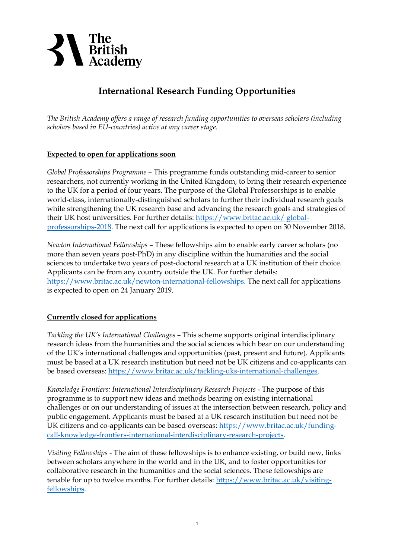## **S**<br>
British<br>
Academy

## **International Research Funding Opportunities**

*The British Academy offers a range of research funding opportunities to overseas scholars (including scholars based in EU-countries) active at any career stage.*

## **Expected to open for applications soon**

*Global Professorships Programme –* This programme funds outstanding mid-career to senior researchers, not currently working in the United Kingdom, to bring their research experience to the UK for a period of four years. The purpose of the Global Professorships is to enable world-class, internationally-distinguished scholars to further their individual research goals while strengthening the UK research base and advancing the research goals and strategies of their UK host universities. For further details: [https://www.britac.ac.uk/ global](https://www.britac.ac.uk/%20global-professorships-2018)[professorships-2018.](https://www.britac.ac.uk/%20global-professorships-2018) The next call for applications is expected to open on 30 November 2018.

*Newton International Fellowships* – These fellowships aim to enable early career scholars (no more than seven years post-PhD) in any discipline within the humanities and the social sciences to undertake two years of post-doctoral research at a UK institution of their choice. Applicants can be from any country outside the UK. For further details: [https://www.britac.ac.uk/newton-international-fellowships.](https://www.britac.ac.uk/newton-international-fellowships) The next call for applications is expected to open on 24 January 2019.

## **Currently closed for applications**

*Tackling the UK's International Challenges* – This scheme supports original interdisciplinary research ideas from the humanities and the social sciences which bear on our understanding of the UK's international challenges and opportunities (past, present and future). Applicants must be based at a UK research institution but need not be UK citizens and co-applicants can be based overseas: [https://www.britac.ac.uk/tackling-uks-international-challenges.](https://www.britac.ac.uk/tackling-uks-international-challenges)

*Knowledge Frontiers: International Interdisciplinary Research Projects* - The purpose of this programme is to support new ideas and methods bearing on existing international challenges or on our understanding of issues at the intersection between research, policy and public engagement. Applicants must be based at a UK research institution but need not be UK citizens and co-applicants can be based overseas: [https://www.britac.ac.uk/funding](https://www.britac.ac.uk/funding-call-knowledge-frontiers-international-interdisciplinary-research-projects)[call-knowledge-frontiers-international-interdisciplinary-research-projects.](https://www.britac.ac.uk/funding-call-knowledge-frontiers-international-interdisciplinary-research-projects)

*Visiting Fellowships -* The aim of these fellowships is to enhance existing, or build new, links between scholars anywhere in the world and in the UK, and to foster opportunities for collaborative research in the humanities and the social sciences. These fellowships are tenable for up to twelve months. For further details: [https://www.britac.ac.uk/visiting](https://www.britac.ac.uk/visiting-fellowships)[fellowships.](https://www.britac.ac.uk/visiting-fellowships)